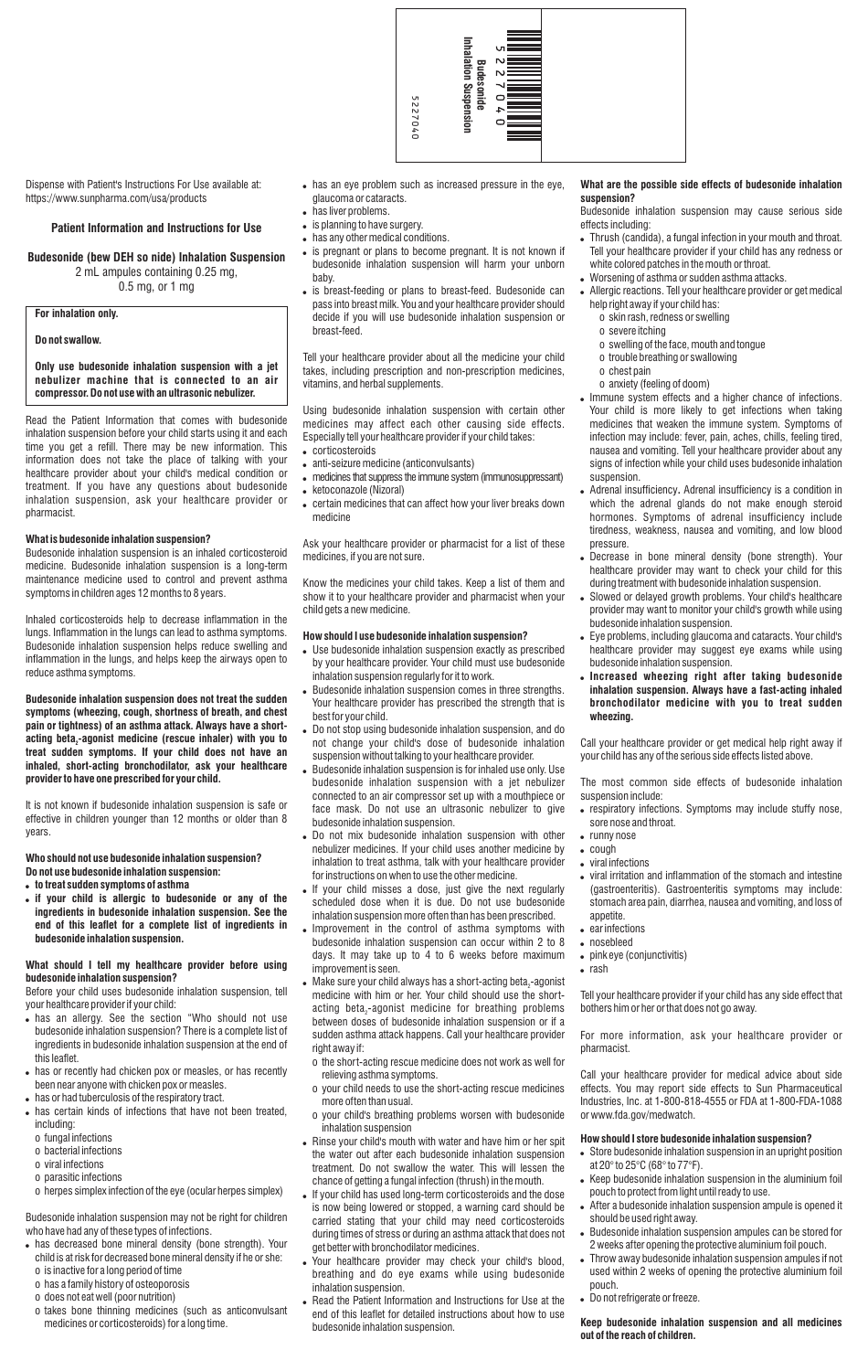Dispense with Patient's Instructions For Use available at: https://www.sunpharma.com/usa/products

#### **Patient Information and Instructions for Use**

## **Budesonide (bew DEH so nide) Inhalation Suspension** 2 mL ampules containing 0.25 mg,

0.5 mg, or 1 mg

# **For inhalation only.**

## **Do not swallow.**

## **Only use budesonide inhalation suspension with a jet nebulizer machine that is connected to an air compressor. Do not use with an ultrasonic nebulizer.**

Read the Patient Information that comes with budesonide inhalation suspension before your child starts using it and each time you get a refill. There may be new information. This information does not take the place of talking with your healthcare provider about your child's medical condition or treatment. If you have any questions about budesonide inhalation suspension, ask your healthcare provider or pharmacist.

#### **What is budesonide inhalation suspension?**

Budesonide inhalation suspension is an inhaled corticosteroid medicine. Budesonide inhalation suspension is a long-term maintenance medicine used to control and prevent asthma symptoms in children ages 12 months to 8 years.

Inhaled corticosteroids help to decrease inflammation in the lungs. Inflammation in the lungs can lead to asthma symptoms. Budesonide inhalation suspension helps reduce swelling and inflammation in the lungs, and helps keep the airways open to reduce asthma symptoms.

- . has an allergy. See the section "Who should not use budesonide inhalation suspension? There is a complete list of ingredients in budesonide inhalation suspension at the end of this leaflet.
- has or recently had chicken pox or measles, or has recently been near anyone with chicken pox or measles.
- . has or had tuberculosis of the respiratory tract.
- . has certain kinds of infections that have not been treated, including:
	- o fungal infections
	- o bacterial infections
	- o viral infections
	- o parasitic infections

**Budesonide inhalation suspension does not treat the sudden symptoms (wheezing, cough, shortness of breath, and chest pain or tightness) of an asthma attack. Always have a shortacting beta -agonist medicine (rescue inhaler) with you to <sup>2</sup> treat sudden symptoms. If your child does not have an inhaled, short-acting bronchodilator, ask your healthcare provider to have one prescribed for your child.** 

- . has decreased bone mineral density (bone strength). Your child is at risk for decreased bone mineral density if he or she:
- o is inactive for a long period of time
- o has a family history of osteoporosis
- o does not eat well (poor nutrition)
- o takes bone thinning medicines (such as anticonvulsant medicines or corticosteroids) for a long time.

It is not known if budesonide inhalation suspension is safe or effective in children younger than 12 months or older than 8 years.

## **Who should not use budesonide inhalation suspension? Do not use budesonide inhalation suspension:**

- . has an eye problem such as increased pressure in the eye, glaucoma or cataracts.
- has liver problems.
- is planning to have surgery.
- . has any other medical conditions.
- is pregnant or plans to become pregnant. It is not known if budesonide inhalation suspension will harm your unborn baby.
- is breast-feeding or plans to breast-feed. Budesonide can pass into breast milk. You and your healthcare provider should decide if you will use budesonide inhalation suspension or breast-feed.

- ! **to treat sudden symptoms of asthma**
- ! **if your child is allergic to budesonide or any of the ingredients in budesonide inhalation suspension. See the end of this leaflet for a complete list of ingredients in budesonide inhalation suspension.**
- corticosteroids
- anti-seizure medicine (anticonvulsants)
- . medicines that suppress the immune system (immunosuppressant)
- ketoconazole (Nizoral)
- certain medicines that can affect how your liver breaks down medicine

## **What should I tell my healthcare provider before using budesonide inhalation suspension?**

Before your child uses budesonide inhalation suspension, tell

your healthcare provider if your child:

o herpes simplex infection of the eye (ocular herpes simplex)

Budesonide inhalation suspension may not be right for children who have had any of these types of infections.

- . Use budesonide inhalation suspension exactly as prescribed by your healthcare provider. Your child must use budesonide inhalation suspension regularly for it to work.
- . Budesonide inhalation suspension comes in three strengths. Your healthcare provider has prescribed the strength that is best for your child.
- . Do not stop using budesonide inhalation suspension, and do not change your child's dose of budesonide inhalation suspension without talking to your healthcare provider.
- . Budesonide inhalation suspension is for inhaled use only. Use budesonide inhalation suspension with a jet nebulizer connected to an air compressor set up with a mouthpiece or face mask. Do not use an ultrasonic nebulizer to give budesonide inhalation suspension.
- . Do not mix budesonide inhalation suspension with other nebulizer medicines. If your child uses another medicine by inhalation to treat asthma, talk with your healthcare provider for instructions on when to use the other medicine.
- If your child misses a dose, just give the next regularly scheduled dose when it is due. Do not use budesonide inhalation suspension more often than has been prescribed.
- Improvement in the control of asthma symptoms with budesonide inhalation suspension can occur within 2 to 8 days. It may take up to 4 to 6 weeks before maximum improvement is seen.
- . Make sure your child always has a short-acting beta $_2$ -agonist medicine with him or her. Your child should use the short-

acting beta<sub> $2$ </sub>-agonist medicine for breathing problems between doses of budesonide inhalation suspension or if a sudden asthma attack happens. Call your healthcare provider right away if:

Tell your healthcare provider about all the medicine your child takes, including prescription and non-prescription medicines, vitamins, and herbal supplements.

Using budesonide inhalation suspension with certain other medicines may affect each other causing side effects. Especially tell your healthcare provider if your child takes:

Ask your healthcare provider or pharmacist for a list of these medicines, if you are not sure.

Know the medicines your child takes. Keep a list of them and show it to your healthcare provider and pharmacist when your child gets a new medicine.

- . Thrush (candida), a fungal infection in your mouth and throat. Tell your healthcare provider if your child has any redness or white colored patches in the mouth or throat.
- . Worsening of asthma or sudden asthma attacks.
- . Allergic reactions. Tell your healthcare provider or get medical help right away if your child has:
	- o skin rash, redness or swelling
	- o severe itching
	- o swelling of the face, mouth and tongue
	- o trouble breathing or swallowing
	- o chest pain
	- o anxiety (feeling of doom)
- ! Immune system effects and a higher chance of infections. Your child is more likely to get infections when taking medicines that weaken the immune system. Symptoms of infection may include: fever, pain, aches, chills, feeling tired, nausea and vomiting. Tell your healthcare provider about any signs of infection while your child uses budesonide inhalation suspension.
- ! Adrenal insufficiency**.** Adrenal insufficiency is a condition in which the adrenal glands do not make enough steroid hormones. Symptoms of adrenal insufficiency include tiredness, weakness, nausea and vomiting, and low blood pressure.
- Decrease in bone mineral density (bone strength). Your healthcare provider may want to check your child for this during treatment with budesonide inhalation suspension.
- . Slowed or delayed growth problems. Your child's healthcare provider may want to monitor your child's growth while using budesonide inhalation suspension.
- ! Eye problems, including glaucoma and cataracts. Your child's healthcare provider may suggest eye exams while using budesonide inhalation suspension.
- ! **Increased wheezing right after taking budesonide inhalation suspension. Always have a fast-acting inhaled bronchodilator medicine with you to treat sudden wheezing.**

#### **How should I use budesonide inhalation suspension?**

- o the short-acting rescue medicine does not work as well for relieving asthma symptoms.
- o your child needs to use the short-acting rescue medicines more often than usual.
- o your child's breathing problems worsen with budesonide inhalation suspension
- . Rinse your child's mouth with water and have him or her spit the water out after each budesonide inhalation suspension treatment. Do not swallow the water. This will lessen the chance of getting a fungal infection (thrush) in the mouth.
- . If your child has used long-term corticosteroids and the dose is now being lowered or stopped, a warning card should be carried stating that your child may need corticosteroids during times of stress or during an asthma attack that does not get better with bronchodilator medicines.
- . Your healthcare provider may check your child's blood, breathing and do eye exams while using budesonide inhalation suspension.
- . Read the Patient Information and Instructions for Use at the end of this leaflet for detailed instructions about how to use budesonide inhalation suspension.

## **What are the possible side effects of budesonide inhalation suspension?**

Budesonide inhalation suspension may cause serious side effects including:

Call your healthcare provider or get medical help right away if your child has any of the serious side effects listed above.

The most common side effects of budesonide inhalation suspension include:

- respiratory infections. Symptoms may include stuffy nose, sore nose and throat.
- runny nose
- $\bullet$  cough
- viral infections
- ! viral irritation and inflammation of the stomach and intestine (gastroenteritis). Gastroenteritis symptoms may include: stomach area pain, diarrhea, nausea and vomiting, and loss of appetite.
- $\bullet$  ear infections
- nosebleed
- pink eye (conjunctivitis)
- $\bullet$  rash

Tell your healthcare provider if your child has any side effect that

bothers him or her or that does not go away.

For more information, ask your healthcare provider or pharmacist.

Call your healthcare provider for medical advice about side effects. You may report side effects to Sun Pharmaceutical Industries, Inc. at 1-800-818-4555 or FDA at 1-800-FDA-1088 or www.fda.gov/medwatch.

## **How should I store budesonide inhalation suspension?**

- . Store budesonide inhalation suspension in an upright position at 20° to 25°C (68° to 77°F).
- . Keep budesonide inhalation suspension in the aluminium foil pouch to protect from light until ready to use.
- . After a budesonide inhalation suspension ampule is opened it should be used right away.
- . Budesonide inhalation suspension ampules can be stored for 2 weeks after opening the protective aluminium foil pouch.
- . Throw away budesonide inhalation suspension ampules if not used within 2 weeks of opening the protective aluminium foil pouch.
- . Do not refrigerate or freeze.

## **Keep budesonide inhalation suspension and all medicines out of the reach of children.**